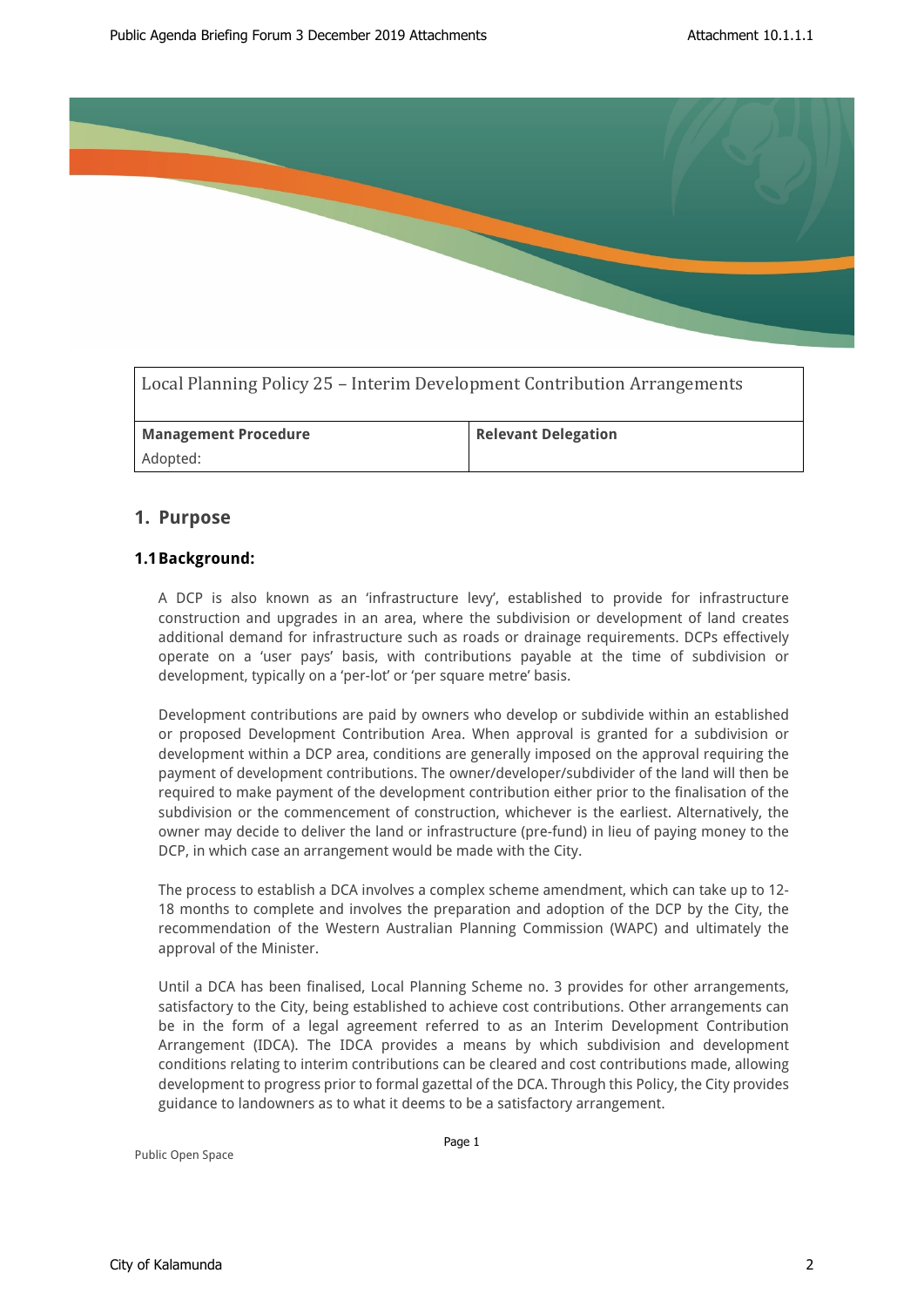

| Local Planning Policy 25 – Interim Development Contribution Arrangements |                            |
|--------------------------------------------------------------------------|----------------------------|
| <b>Management Procedure</b>                                              | <b>Relevant Delegation</b> |
| Adopted:                                                                 |                            |

# **1. Purpose**

# **1.1Background:**

A DCP is also known as an 'infrastructure levy', established to provide for infrastructure construction and upgrades in an area, where the subdivision or development of land creates additional demand for infrastructure such as roads or drainage requirements. DCPs effectively operate on a 'user pays' basis, with contributions payable at the time of subdivision or development, typically on a 'per-lot' or 'per square metre' basis.

Development contributions are paid by owners who develop or subdivide within an established or proposed Development Contribution Area. When approval is granted for a subdivision or development within a DCP area, conditions are generally imposed on the approval requiring the payment of development contributions. The owner/developer/subdivider of the land will then be required to make payment of the development contribution either prior to the finalisation of the subdivision or the commencement of construction, whichever is the earliest. Alternatively, the owner may decide to deliver the land or infrastructure (pre-fund) in lieu of paying money to the DCP, in which case an arrangement would be made with the City.

The process to establish a DCA involves a complex scheme amendment, which can take up to 12- 18 months to complete and involves the preparation and adoption of the DCP by the City, the recommendation of the Western Australian Planning Commission (WAPC) and ultimately the approval of the Minister.

Until a DCA has been finalised, Local Planning Scheme no. 3 provides for other arrangements, satisfactory to the City, being established to achieve cost contributions. Other arrangements can be in the form of a legal agreement referred to as an Interim Development Contribution Arrangement (IDCA). The IDCA provides a means by which subdivision and development conditions relating to interim contributions can be cleared and cost contributions made, allowing development to progress prior to formal gazettal of the DCA. Through this Policy, the City provides guidance to landowners as to what it deems to be a satisfactory arrangement.

Public Open Space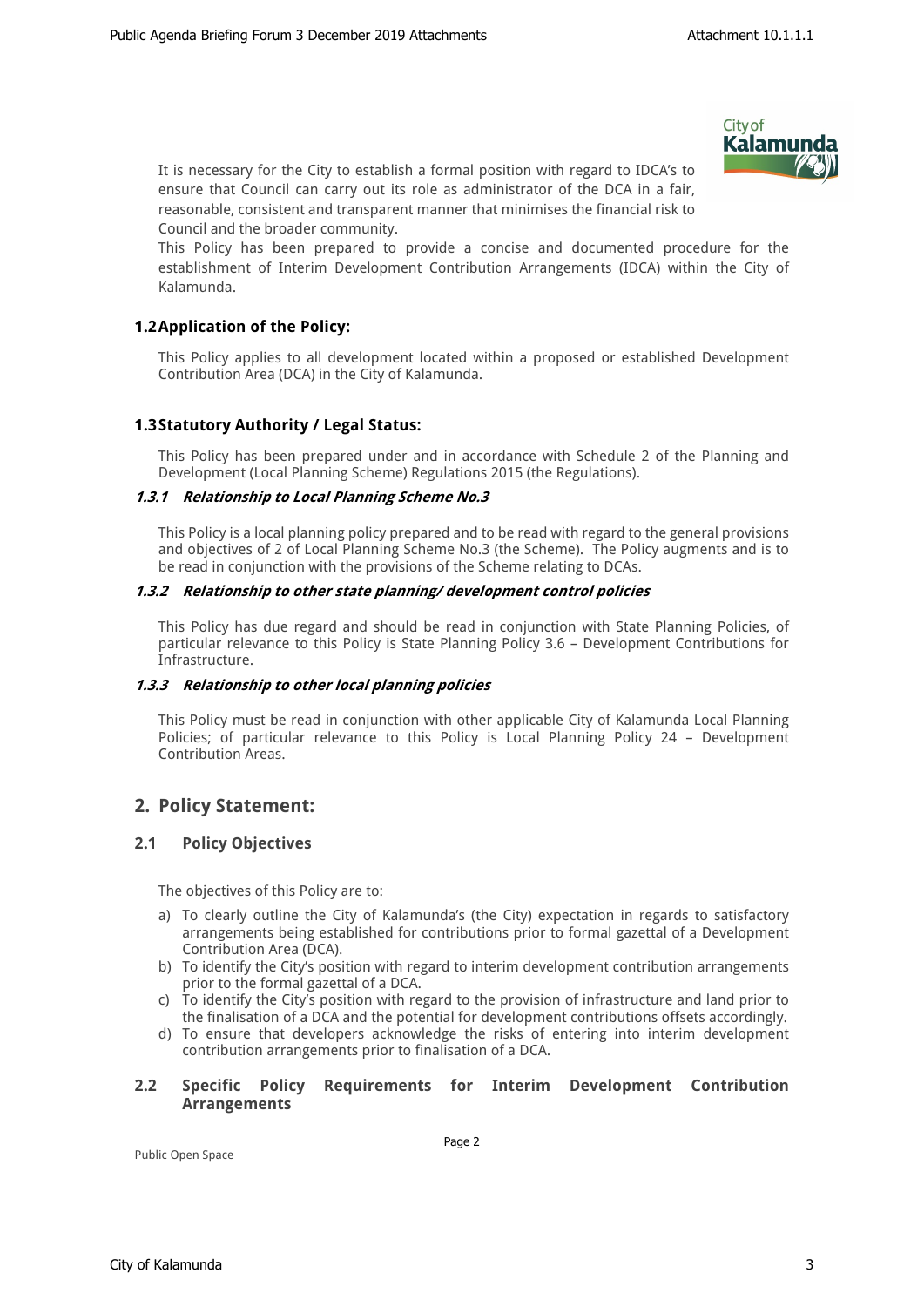

It is necessary for the City to establish a formal position with regard to IDCA's to ensure that Council can carry out its role as administrator of the DCA in a fair, reasonable, consistent and transparent manner that minimises the financial risk to Council and the broader community.

This Policy has been prepared to provide a concise and documented procedure for the establishment of Interim Development Contribution Arrangements (IDCA) within the City of Kalamunda.

# **1.2Application of the Policy:**

This Policy applies to all development located within a proposed or established Development Contribution Area (DCA) in the City of Kalamunda.

# **1.3Statutory Authority / Legal Status:**

This Policy has been prepared under and in accordance with Schedule 2 of the Planning and Development (Local Planning Scheme) Regulations 2015 (the Regulations).

### *1.3.1 Relationship to Local Planning Scheme No.3*

This Policy is a local planning policy prepared and to be read with regard to the general provisions and objectives of 2 of Local Planning Scheme No.3 (the Scheme). The Policy augments and is to be read in conjunction with the provisions of the Scheme relating to DCAs.

### *1.3.2 Relationship to other state planning/ development control policies*

This Policy has due regard and should be read in conjunction with State Planning Policies, of particular relevance to this Policy is State Planning Policy 3.6 – Development Contributions for Infrastructure.

### *1.3.3 Relationship to other local planning policies*

This Policy must be read in conjunction with other applicable City of Kalamunda Local Planning Policies; of particular relevance to this Policy is Local Planning Policy 24 – Development Contribution Areas.

# **2. Policy Statement:**

# **2.1 Policy Objectives**

The objectives of this Policy are to:

- a) To clearly outline the City of Kalamunda's (the City) expectation in regards to satisfactory arrangements being established for contributions prior to formal gazettal of a Development Contribution Area (DCA).
- b) To identify the City's position with regard to interim development contribution arrangements prior to the formal gazettal of a DCA.
- c) To identify the City's position with regard to the provision of infrastructure and land prior to the finalisation of a DCA and the potential for development contributions offsets accordingly.
- d) To ensure that developers acknowledge the risks of entering into interim development contribution arrangements prior to finalisation of a DCA.

### **2.2 Specific Policy Requirements for Interim Development Contribution Arrangements**

Page 2

Public Open Space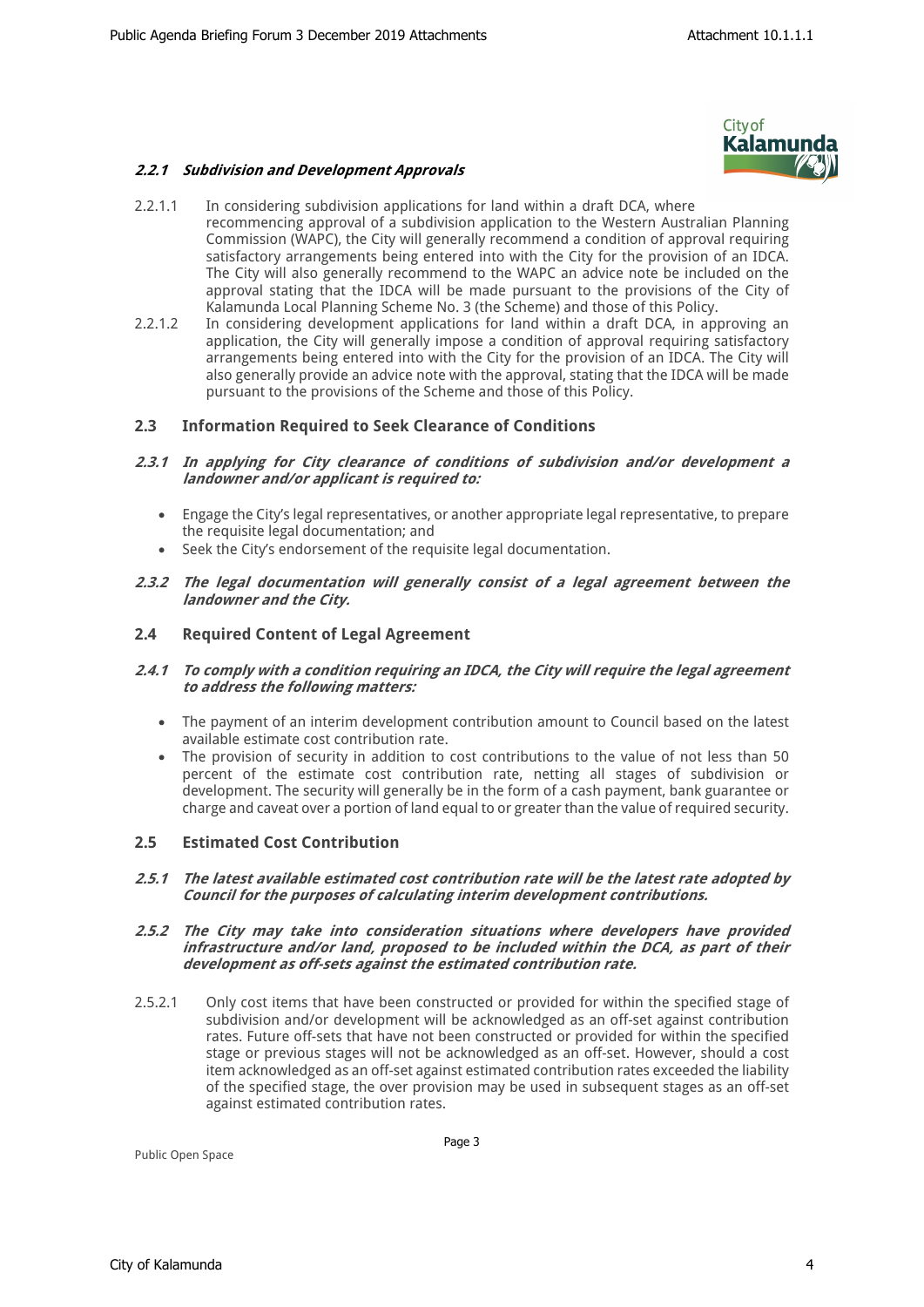### *2.2.1 Subdivision and Development Approvals*



- 2.2.1.1 In considering subdivision applications for land within a draft DCA, where recommencing approval of a subdivision application to the Western Australian Planning Commission (WAPC), the City will generally recommend a condition of approval requiring satisfactory arrangements being entered into with the City for the provision of an IDCA. The City will also generally recommend to the WAPC an advice note be included on the approval stating that the IDCA will be made pursuant to the provisions of the City of Kalamunda Local Planning Scheme No. 3 (the Scheme) and those of this Policy.
- 2.2.1.2 In considering development applications for land within a draft DCA, in approving an application, the City will generally impose a condition of approval requiring satisfactory arrangements being entered into with the City for the provision of an IDCA. The City will also generally provide an advice note with the approval, stating that the IDCA will be made pursuant to the provisions of the Scheme and those of this Policy.

### **2.3 Information Required to Seek Clearance of Conditions**

- *2.3.1 In applying for City clearance of conditions of subdivision and/or development a landowner and/or applicant is required to:*
	- Engage the City's legal representatives, or another appropriate legal representative, to prepare the requisite legal documentation; and
	- Seek the City's endorsement of the requisite legal documentation.
- *2.3.2 The legal documentation will generally consist of a legal agreement between the landowner and the City.*

### **2.4 Required Content of Legal Agreement**

- *2.4.1 To comply with a condition requiring an IDCA, the City will require the legal agreement to address the following matters:* 
	- The payment of an interim development contribution amount to Council based on the latest available estimate cost contribution rate.
	- The provision of security in addition to cost contributions to the value of not less than 50 percent of the estimate cost contribution rate, netting all stages of subdivision or development. The security will generally be in the form of a cash payment, bank guarantee or charge and caveat over a portion of land equal to or greater than the value of required security.

### **2.5 Estimated Cost Contribution**

*2.5.1 The latest available estimated cost contribution rate will be the latest rate adopted by Council for the purposes of calculating interim development contributions.* 

#### *2.5.2 The City may take into consideration situations where developers have provided infrastructure and/or land, proposed to be included within the DCA, as part of their development as off-sets against the estimated contribution rate.*

2.5.2.1 Only cost items that have been constructed or provided for within the specified stage of subdivision and/or development will be acknowledged as an off-set against contribution rates. Future off-sets that have not been constructed or provided for within the specified stage or previous stages will not be acknowledged as an off-set. However, should a cost item acknowledged as an off-set against estimated contribution rates exceeded the liability of the specified stage, the over provision may be used in subsequent stages as an off-set against estimated contribution rates.

Public Open Space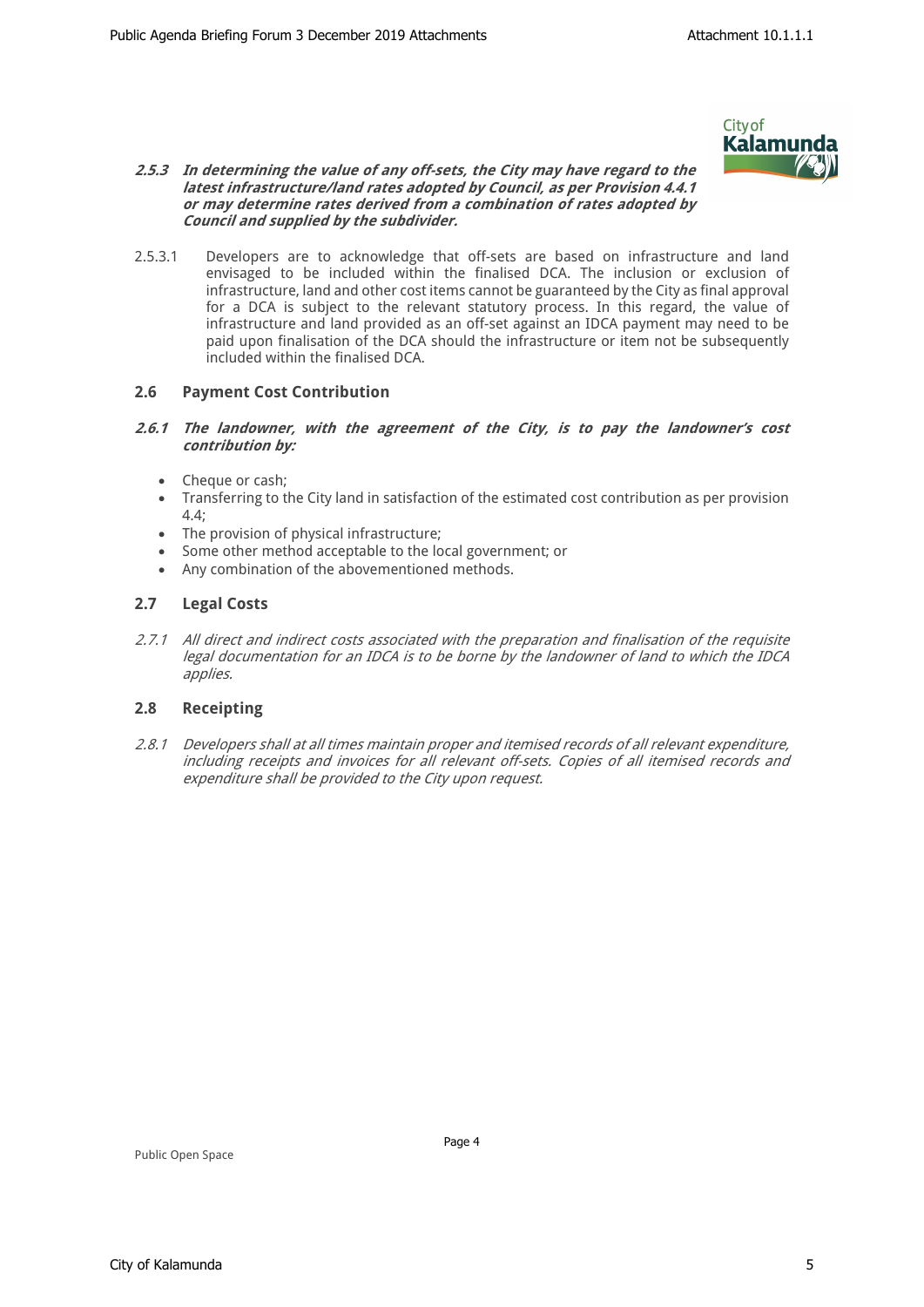

#### *2.5.3 In determining the value of any off-sets, the City may have regard to the latest infrastructure/land rates adopted by Council, as per Provision 4.4.1 or may determine rates derived from a combination of rates adopted by Council and supplied by the subdivider.*

2.5.3.1 Developers are to acknowledge that off-sets are based on infrastructure and land envisaged to be included within the finalised DCA. The inclusion or exclusion of infrastructure, land and other cost items cannot be guaranteed by the City as final approval for a DCA is subject to the relevant statutory process. In this regard, the value of infrastructure and land provided as an off-set against an IDCA payment may need to be paid upon finalisation of the DCA should the infrastructure or item not be subsequently included within the finalised DCA.

# **2.6 Payment Cost Contribution**

#### *2.6.1 The landowner, with the agreement of the City, is to pay the landowner's cost contribution by:*

- Cheque or cash;
- Transferring to the City land in satisfaction of the estimated cost contribution as per provision 4.4;
- The provision of physical infrastructure;
- Some other method acceptable to the local government; or
- Any combination of the abovementioned methods.

### **2.7 Legal Costs**

*2.7.1 All direct and indirect costs associated with the preparation and finalisation of the requisite legal documentation for an IDCA is to be borne by the landowner of land to which the IDCA applies.*

### **2.8 Receipting**

*2.8.1 Developers shall at all times maintain proper and itemised records of all relevant expenditure, including receipts and invoices for all relevant off-sets. Copies of all itemised records and expenditure shall be provided to the City upon request.* 

Public Open Space